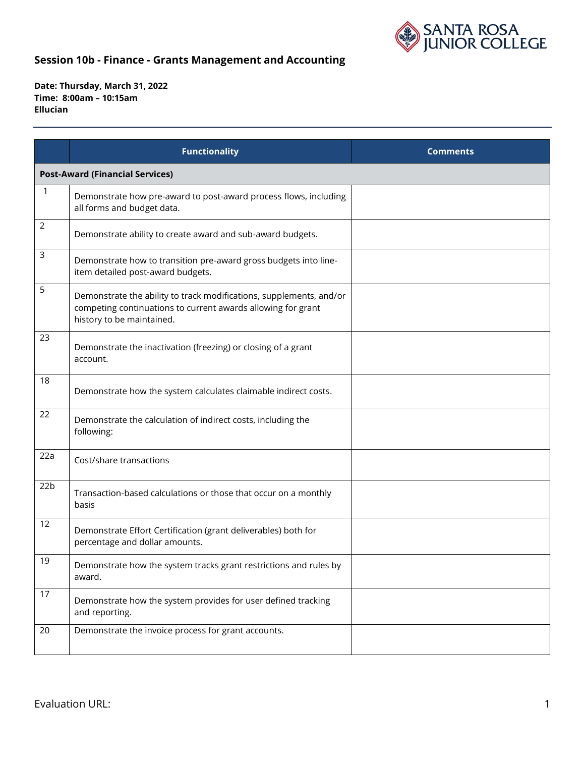

|                 | <b>Functionality</b>                                                                                                                                             | <b>Comments</b> |  |  |
|-----------------|------------------------------------------------------------------------------------------------------------------------------------------------------------------|-----------------|--|--|
|                 | <b>Post-Award (Financial Services)</b>                                                                                                                           |                 |  |  |
| 1               | Demonstrate how pre-award to post-award process flows, including<br>all forms and budget data.                                                                   |                 |  |  |
| $\overline{2}$  | Demonstrate ability to create award and sub-award budgets.                                                                                                       |                 |  |  |
| 3               | Demonstrate how to transition pre-award gross budgets into line-<br>item detailed post-award budgets.                                                            |                 |  |  |
| 5               | Demonstrate the ability to track modifications, supplements, and/or<br>competing continuations to current awards allowing for grant<br>history to be maintained. |                 |  |  |
| 23              | Demonstrate the inactivation (freezing) or closing of a grant<br>account.                                                                                        |                 |  |  |
| 18              | Demonstrate how the system calculates claimable indirect costs.                                                                                                  |                 |  |  |
| 22              | Demonstrate the calculation of indirect costs, including the<br>following:                                                                                       |                 |  |  |
| 22a             | Cost/share transactions                                                                                                                                          |                 |  |  |
| 22 <sub>b</sub> | Transaction-based calculations or those that occur on a monthly<br>basis                                                                                         |                 |  |  |
| 12              | Demonstrate Effort Certification (grant deliverables) both for<br>percentage and dollar amounts.                                                                 |                 |  |  |
| 19              | Demonstrate how the system tracks grant restrictions and rules by<br>award.                                                                                      |                 |  |  |
| 17              | Demonstrate how the system provides for user defined tracking<br>and reporting.                                                                                  |                 |  |  |
| 20              | Demonstrate the invoice process for grant accounts.                                                                                                              |                 |  |  |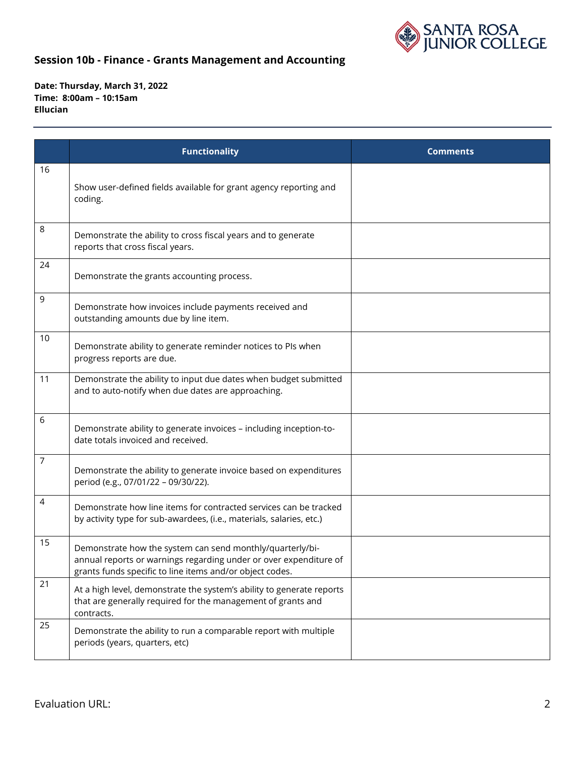

|    | <b>Functionality</b>                                                                                                                                                                       | <b>Comments</b> |
|----|--------------------------------------------------------------------------------------------------------------------------------------------------------------------------------------------|-----------------|
| 16 | Show user-defined fields available for grant agency reporting and<br>coding.                                                                                                               |                 |
| 8  | Demonstrate the ability to cross fiscal years and to generate<br>reports that cross fiscal years.                                                                                          |                 |
| 24 | Demonstrate the grants accounting process.                                                                                                                                                 |                 |
| 9  | Demonstrate how invoices include payments received and<br>outstanding amounts due by line item.                                                                                            |                 |
| 10 | Demonstrate ability to generate reminder notices to PIs when<br>progress reports are due.                                                                                                  |                 |
| 11 | Demonstrate the ability to input due dates when budget submitted<br>and to auto-notify when due dates are approaching.                                                                     |                 |
| 6  | Demonstrate ability to generate invoices - including inception-to-<br>date totals invoiced and received.                                                                                   |                 |
| 7  | Demonstrate the ability to generate invoice based on expenditures<br>period (e.g., 07/01/22 - 09/30/22).                                                                                   |                 |
| 4  | Demonstrate how line items for contracted services can be tracked<br>by activity type for sub-awardees, (i.e., materials, salaries, etc.)                                                  |                 |
| 15 | Demonstrate how the system can send monthly/quarterly/bi-<br>annual reports or warnings regarding under or over expenditure of<br>grants funds specific to line items and/or object codes. |                 |
| 21 | At a high level, demonstrate the system's ability to generate reports<br>that are generally required for the management of grants and<br>contracts.                                        |                 |
| 25 | Demonstrate the ability to run a comparable report with multiple<br>periods (years, quarters, etc)                                                                                         |                 |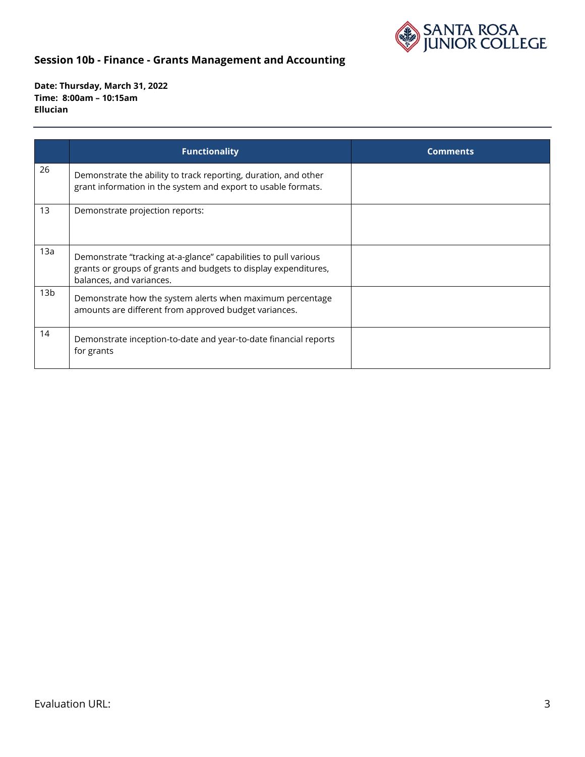

|                 | <b>Functionality</b>                                                                                                                                           | <b>Comments</b> |
|-----------------|----------------------------------------------------------------------------------------------------------------------------------------------------------------|-----------------|
| 26              | Demonstrate the ability to track reporting, duration, and other<br>grant information in the system and export to usable formats.                               |                 |
| 13              | Demonstrate projection reports:                                                                                                                                |                 |
| 13a             | Demonstrate "tracking at-a-glance" capabilities to pull various<br>grants or groups of grants and budgets to display expenditures,<br>balances, and variances. |                 |
| 13 <sub>b</sub> | Demonstrate how the system alerts when maximum percentage<br>amounts are different from approved budget variances.                                             |                 |
| 14              | Demonstrate inception-to-date and year-to-date financial reports<br>for grants                                                                                 |                 |